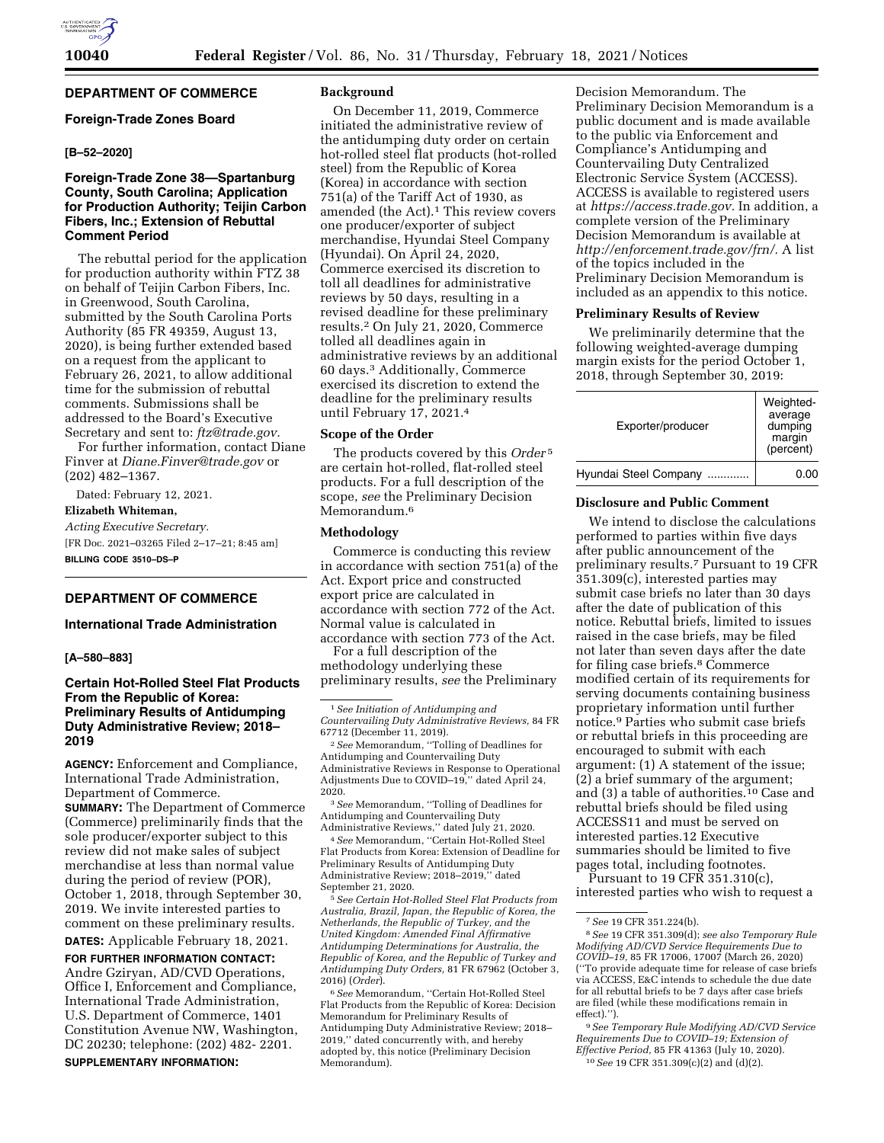# **DEPARTMENT OF COMMERCE**

# **Foreign-Trade Zones Board**

# **[B–52–2020]**

# **Foreign-Trade Zone 38—Spartanburg County, South Carolina; Application for Production Authority; Teijin Carbon Fibers, Inc.; Extension of Rebuttal Comment Period**

The rebuttal period for the application for production authority within FTZ 38 on behalf of Teijin Carbon Fibers, Inc. in Greenwood, South Carolina, submitted by the South Carolina Ports Authority (85 FR 49359, August 13, 2020), is being further extended based on a request from the applicant to February 26, 2021, to allow additional time for the submission of rebuttal comments. Submissions shall be addressed to the Board's Executive Secretary and sent to: *[ftz@trade.gov.](mailto:ftz@trade.gov)* 

For further information, contact Diane Finver at *[Diane.Finver@trade.gov](mailto:Diane.Finver@trade.gov)* or (202) 482–1367.

Dated: February 12, 2021. **Elizabeth Whiteman,**  *Acting Executive Secretary.*  [FR Doc. 2021–03265 Filed 2–17–21; 8:45 am] **BILLING CODE 3510–DS–P** 

## **DEPARTMENT OF COMMERCE**

### **International Trade Administration**

### **[A–580–883]**

# **Certain Hot-Rolled Steel Flat Products From the Republic of Korea: Preliminary Results of Antidumping Duty Administrative Review; 2018– 2019**

**AGENCY:** Enforcement and Compliance, International Trade Administration, Department of Commerce. **SUMMARY:** The Department of Commerce (Commerce) preliminarily finds that the sole producer/exporter subject to this review did not make sales of subject merchandise at less than normal value during the period of review (POR), October 1, 2018, through September 30, 2019. We invite interested parties to comment on these preliminary results.

**DATES:** Applicable February 18, 2021.

**FOR FURTHER INFORMATION CONTACT:**  Andre Gziryan, AD/CVD Operations, Office I, Enforcement and Compliance, International Trade Administration, U.S. Department of Commerce, 1401 Constitution Avenue NW, Washington, DC 20230; telephone: (202) 482- 2201. **SUPPLEMENTARY INFORMATION:** 

### **Background**

On December 11, 2019, Commerce initiated the administrative review of the antidumping duty order on certain hot-rolled steel flat products (hot-rolled steel) from the Republic of Korea (Korea) in accordance with section 751(a) of the Tariff Act of 1930, as amended (the Act).<sup>1</sup> This review covers one producer/exporter of subject merchandise, Hyundai Steel Company (Hyundai). On April 24, 2020, Commerce exercised its discretion to toll all deadlines for administrative reviews by 50 days, resulting in a revised deadline for these preliminary results.2 On July 21, 2020, Commerce tolled all deadlines again in administrative reviews by an additional 60 days.3 Additionally, Commerce exercised its discretion to extend the deadline for the preliminary results until February 17, 2021.4

### **Scope of the Order**

The products covered by this *Order* 5 are certain hot-rolled, flat-rolled steel products. For a full description of the scope, *see* the Preliminary Decision Memorandum.<sup>6</sup>

### **Methodology**

Commerce is conducting this review in accordance with section 751(a) of the Act. Export price and constructed export price are calculated in accordance with section 772 of the Act. Normal value is calculated in accordance with section 773 of the Act.

For a full description of the methodology underlying these

preliminary results, *see* the Preliminary

3*See* Memorandum, ''Tolling of Deadlines for Antidumping and Countervailing Duty Administrative Reviews,'' dated July 21, 2020.

4*See* Memorandum, ''Certain Hot-Rolled Steel Flat Products from Korea: Extension of Deadline for Preliminary Results of Antidumping Duty Administrative Review; 2018–2019,'' dated September 21, 2020.

5*See Certain Hot-Rolled Steel Flat Products from Australia, Brazil, Japan, the Republic of Korea, the Netherlands, the Republic of Turkey, and the United Kingdom: Amended Final Affirmative Antidumping Determinations for Australia, the Republic of Korea, and the Republic of Turkey and Antidumping Duty Orders,* 81 FR 67962 (October 3, 2016) (*Order*).

6*See* Memorandum, ''Certain Hot-Rolled Steel Flat Products from the Republic of Korea: Decision Memorandum for Preliminary Results of Antidumping Duty Administrative Review; 2018– 2019,'' dated concurrently with, and hereby adopted by, this notice (Preliminary Decision Memorandum).

Decision Memorandum. The Preliminary Decision Memorandum is a public document and is made available to the public via Enforcement and Compliance's Antidumping and Countervailing Duty Centralized Electronic Service System (ACCESS). ACCESS is available to registered users at *[https://access.trade.gov.](https://access.trade.gov)* In addition, a complete version of the Preliminary Decision Memorandum is available at *[http://enforcement.trade.gov/frn/.](http://enforcement.trade.gov/frn/)* A list of the topics included in the Preliminary Decision Memorandum is included as an appendix to this notice.

#### **Preliminary Results of Review**

We preliminarily determine that the following weighted-average dumping margin exists for the period October 1, 2018, through September 30, 2019:

| Exporter/producer          | Weighted-<br>average<br>dumping<br>margin<br>(percent) |
|----------------------------|--------------------------------------------------------|
| Hyundai Steel Company<br>. | 0.00                                                   |

#### **Disclosure and Public Comment**

We intend to disclose the calculations performed to parties within five days after public announcement of the preliminary results.7 Pursuant to 19 CFR 351.309(c), interested parties may submit case briefs no later than 30 days after the date of publication of this notice. Rebuttal briefs, limited to issues raised in the case briefs, may be filed not later than seven days after the date for filing case briefs.8 Commerce modified certain of its requirements for serving documents containing business proprietary information until further notice.9 Parties who submit case briefs or rebuttal briefs in this proceeding are encouraged to submit with each argument: (1) A statement of the issue; (2) a brief summary of the argument; and (3) a table of authorities.10 Case and rebuttal briefs should be filed using ACCESS11 and must be served on interested parties.12 Executive summaries should be limited to five pages total, including footnotes. Pursuant to 19 CFR 351.310(c),

interested parties who wish to request a

9*See Temporary Rule Modifying AD/CVD Service Requirements Due to COVID–19; Extension of Effective Period,* 85 FR 41363 (July 10, 2020). 10*See* 19 CFR 351.309(c)(2) and (d)(2).

<sup>1</sup>*See Initiation of Antidumping and Countervailing Duty Administrative Reviews,* 84 FR 67712 (December 11, 2019).

<sup>2</sup>*See* Memorandum, ''Tolling of Deadlines for Antidumping and Countervailing Duty Administrative Reviews in Response to Operational Adjustments Due to COVID–19,'' dated April 24, 2020.

<sup>7</sup>*See* 19 CFR 351.224(b). 8*See* 19 CFR 351.309(d); *see also Temporary Rule Modifying AD/CVD Service Requirements Due to COVID–19,* 85 FR 17006, 17007 (March 26, 2020) (''To provide adequate time for release of case briefs via ACCESS, E&C intends to schedule the due date for all rebuttal briefs to be 7 days after case briefs are filed (while these modifications remain in effect).'').